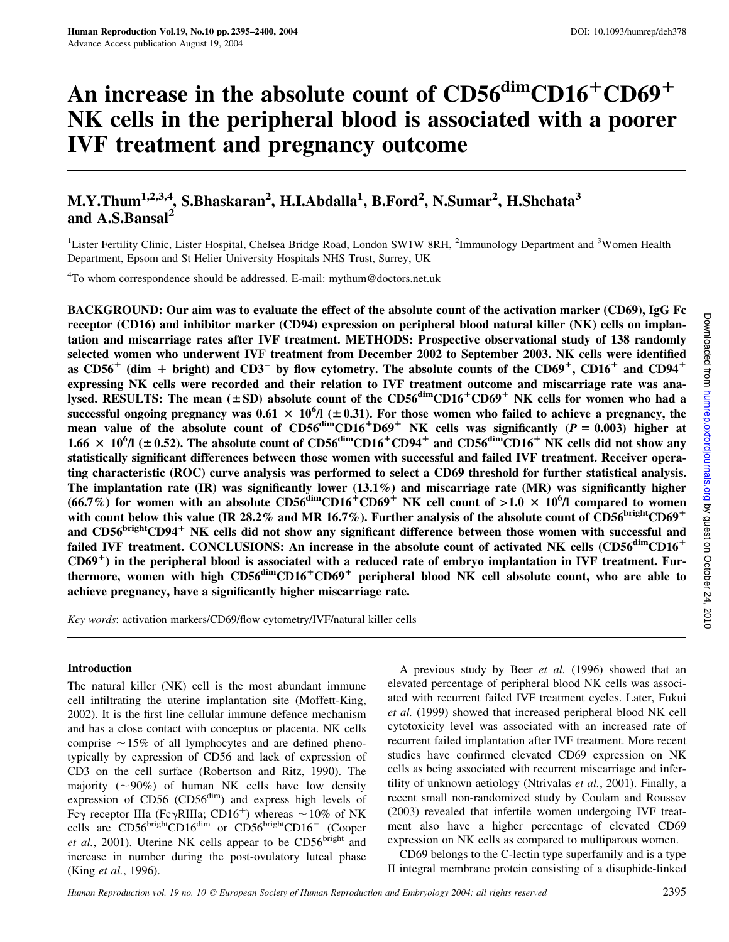# An increase in the absolute count of  $CD56<sup>dim</sup>CD16<sup>+</sup>CD69<sup>+</sup>$ NK cells in the peripheral blood is associated with a poorer IVF treatment and pregnancy outcome

# M.Y.Thum<sup>1,2,3,4</sup>, S.Bhaskaran<sup>2</sup>, H.I.Abdalla<sup>1</sup>, B.Ford<sup>2</sup>, N.Sumar<sup>2</sup>, H.Shehata<sup>3</sup> and  $A.S.Bansal<sup>2</sup>$

<sup>1</sup>Lister Fertility Clinic, Lister Hospital, Chelsea Bridge Road, London SW1W 8RH, <sup>2</sup>Immunology Department and <sup>3</sup>Women Health Department, Epsom and St Helier University Hospitals NHS Trust, Surrey, UK

<sup>4</sup>To whom correspondence should be addressed. E-mail: mythum@doctors.net.uk

BACKGROUND: Our aim was to evaluate the effect of the absolute count of the activation marker (CD69), IgG Fc receptor (CD16) and inhibitor marker (CD94) expression on peripheral blood natural killer (NK) cells on implantation and miscarriage rates after IVF treatment. METHODS: Prospective observational study of 138 randomly selected women who underwent IVF treatment from December 2002 to September 2003. NK cells were identified as CD56<sup>+</sup> (dim + bright) and CD3<sup>-</sup> by flow cytometry. The absolute counts of the CD69<sup>+</sup>, CD16<sup>+</sup> and CD94<sup>+</sup> expressing NK cells were recorded and their relation to IVF treatment outcome and miscarriage rate was analysed. RESULTS: The mean  $(\pm SD)$  absolute count of the CD56<sup>dim</sup>CD16<sup>+</sup>CD69<sup>+</sup> NK cells for women who had a successful ongoing pregnancy was  $0.61 \times 10^{6}$ /l ( $\pm 0.31$ ). For those women who failed to achieve a pregnancy, the mean value of the absolute count of  $CD56^{\text{dim}}CD16^+D69^+$  NK cells was significantly  $(P = 0.003)$  higher at 1.66  $\times$  10<sup>6</sup>/l (±0.52). The absolute count of CD56<sup>dim</sup>CD16<sup>+</sup>CD94<sup>+</sup> and CD56<sup>dim</sup>CD16<sup>+</sup> NK cells did not show any statistically significant differences between those women with successful and failed IVF treatment. Receiver operating characteristic (ROC) curve analysis was performed to select a CD69 threshold for further statistical analysis. The implantation rate  $(IR)$  was significantly lower  $(13.1\%)$  and miscarriage rate  $(MR)$  was significantly higher (66.7%) for women with an absolute  $CD56^{\text{dim}}CD16^+CD69^+$  NK cell count of >1.0  $\times$  10<sup>6</sup>/l compared to women with count below this value (IR 28.2% and MR 16.7%). Further analysis of the absolute count of  $CD56^{bright}CD69<sup>+</sup>$ and CD56<sup>bright</sup>CD94<sup>+</sup> NK cells did not show any significant difference between those women with successful and failed IVF treatment. CONCLUSIONS: An increase in the absolute count of activated NK cells (CD56<sup>dim</sup>CD16<sup>+</sup>  $CD69<sup>+</sup>$ ) in the peripheral blood is associated with a reduced rate of embryo implantation in IVF treatment. Furthermore, women with high  $CD56^{dim}CD16^+CD69^+$  peripheral blood NK cell absolute count, who are able to achieve pregnancy, have a significantly higher miscarriage rate.

Key words: activation markers/CD69/flow cytometry/IVF/natural killer cells

#### Introduction

The natural killer (NK) cell is the most abundant immune cell infiltrating the uterine implantation site (Moffett-King, 2002). It is the first line cellular immune defence mechanism and has a close contact with conceptus or placenta. NK cells comprise  $\sim$ 15% of all lymphocytes and are defined phenotypically by expression of CD56 and lack of expression of CD3 on the cell surface (Robertson and Ritz, 1990). The majority ( $\sim$ 90%) of human NK cells have low density expression of  $CD56$  ( $CD56<sup>dim</sup>$ ) and express high levels of Fc $\gamma$  receptor IIIa (Fc $\gamma$ RIIIa; CD16<sup>+</sup>) whereas  $\sim$  10% of NK cells are CD56brightCD16<sup>dim</sup> or CD56brightCD16<sup>-</sup> (Cooper *et al.*, 2001). Uterine NK cells appear to be  $CD56<sup>bright</sup>$  and increase in number during the post-ovulatory luteal phase (King et al., 1996).

A previous study by Beer et al. (1996) showed that an elevated percentage of peripheral blood NK cells was associated with recurrent failed IVF treatment cycles. Later, Fukui et al. (1999) showed that increased peripheral blood NK cell cytotoxicity level was associated with an increased rate of recurrent failed implantation after IVF treatment. More recent studies have confirmed elevated CD69 expression on NK cells as being associated with recurrent miscarriage and infertility of unknown aetiology (Ntrivalas et al., 2001). Finally, a recent small non-randomized study by Coulam and Roussev (2003) revealed that infertile women undergoing IVF treatment also have a higher percentage of elevated CD69 expression on NK cells as compared to multiparous women.

CD69 belongs to the C-lectin type superfamily and is a type II integral membrane protein consisting of a disuphide-linked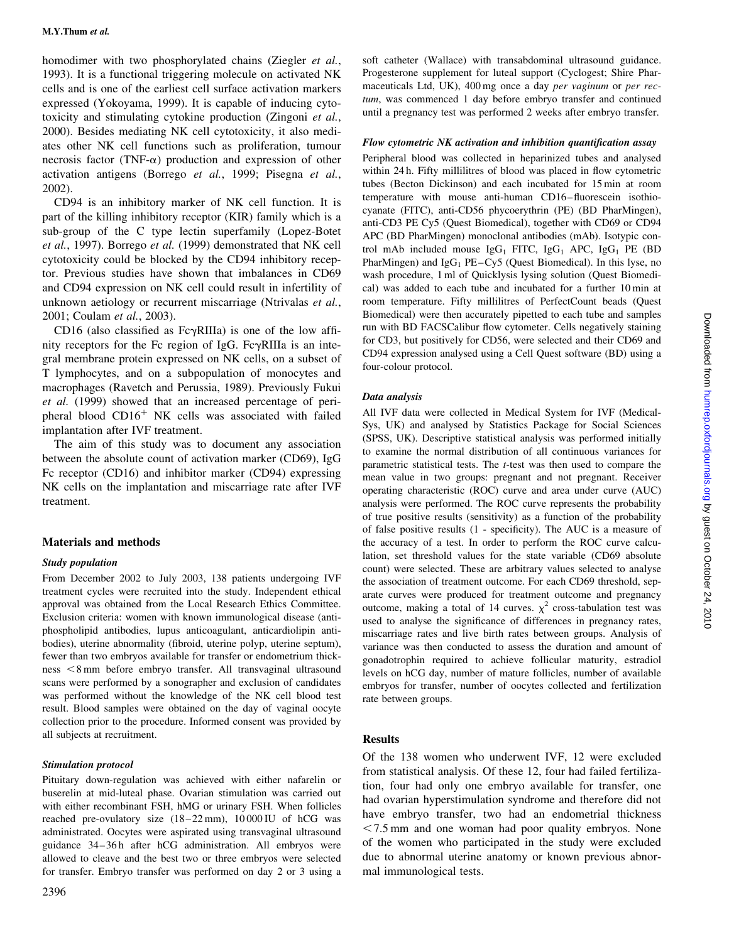homodimer with two phosphorylated chains (Ziegler et al., 1993). It is a functional triggering molecule on activated NK cells and is one of the earliest cell surface activation markers expressed (Yokoyama, 1999). It is capable of inducing cytotoxicity and stimulating cytokine production (Zingoni et al., 2000). Besides mediating NK cell cytotoxicity, it also mediates other NK cell functions such as proliferation, tumour necrosis factor (TNF- $\alpha$ ) production and expression of other activation antigens (Borrego et al., 1999; Pisegna et al., 2002).

CD94 is an inhibitory marker of NK cell function. It is part of the killing inhibitory receptor (KIR) family which is a sub-group of the C type lectin superfamily (Lopez-Botet et al., 1997). Borrego et al. (1999) demonstrated that NK cell cytotoxicity could be blocked by the CD94 inhibitory receptor. Previous studies have shown that imbalances in CD69 and CD94 expression on NK cell could result in infertility of unknown aetiology or recurrent miscarriage (Ntrivalas et al., 2001; Coulam et al., 2003).

CD16 (also classified as  $Fc\gamma RIIIa$ ) is one of the low affinity receptors for the Fc region of IgG. Fc $\gamma$ RIIIa is an integral membrane protein expressed on NK cells, on a subset of T lymphocytes, and on a subpopulation of monocytes and macrophages (Ravetch and Perussia, 1989). Previously Fukui et al. (1999) showed that an increased percentage of peripheral blood  $CD16<sup>+</sup>$  NK cells was associated with failed implantation after IVF treatment.

The aim of this study was to document any association between the absolute count of activation marker (CD69), IgG Fc receptor (CD16) and inhibitor marker (CD94) expressing NK cells on the implantation and miscarriage rate after IVF treatment.

#### Materials and methods

#### Study population

From December 2002 to July 2003, 138 patients undergoing IVF treatment cycles were recruited into the study. Independent ethical approval was obtained from the Local Research Ethics Committee. Exclusion criteria: women with known immunological disease (antiphospholipid antibodies, lupus anticoagulant, anticardiolipin antibodies), uterine abnormality (fibroid, uterine polyp, uterine septum), fewer than two embryos available for transfer or endometrium thick $ness < 8$  mm before embryo transfer. All transvaginal ultrasound scans were performed by a sonographer and exclusion of candidates was performed without the knowledge of the NK cell blood test result. Blood samples were obtained on the day of vaginal oocyte collection prior to the procedure. Informed consent was provided by all subjects at recruitment.

#### Stimulation protocol

Pituitary down-regulation was achieved with either nafarelin or buserelin at mid-luteal phase. Ovarian stimulation was carried out with either recombinant FSH, hMG or urinary FSH. When follicles reached pre-ovulatory size (18–22 mm), 10 000 IU of hCG was administrated. Oocytes were aspirated using transvaginal ultrasound guidance 34–36 h after hCG administration. All embryos were allowed to cleave and the best two or three embryos were selected for transfer. Embryo transfer was performed on day 2 or 3 using a soft catheter (Wallace) with transabdominal ultrasound guidance. Progesterone supplement for luteal support (Cyclogest; Shire Pharmaceuticals Ltd, UK), 400 mg once a day per vaginum or per rectum, was commenced 1 day before embryo transfer and continued until a pregnancy test was performed 2 weeks after embryo transfer.

#### Flow cytometric NK activation and inhibition quantification assay

Peripheral blood was collected in heparinized tubes and analysed within 24 h. Fifty millilitres of blood was placed in flow cytometric tubes (Becton Dickinson) and each incubated for 15 min at room temperature with mouse anti-human CD16–fluorescein isothiocyanate (FITC), anti-CD56 phycoerythrin (PE) (BD PharMingen), anti-CD3 PE Cy5 (Quest Biomedical), together with CD69 or CD94 APC (BD PharMingen) monoclonal antibodies (mAb). Isotypic control mAb included mouse  $IgG_1$  FITC,  $IgG_1$  APC,  $IgG_1$  PE (BD PharMingen) and  $IgG_1$  PE–Cy5 (Quest Biomedical). In this lyse, no wash procedure, 1 ml of Quicklysis lysing solution (Quest Biomedical) was added to each tube and incubated for a further 10 min at room temperature. Fifty millilitres of PerfectCount beads (Quest Biomedical) were then accurately pipetted to each tube and samples run with BD FACSCalibur flow cytometer. Cells negatively staining for CD3, but positively for CD56, were selected and their CD69 and CD94 expression analysed using a Cell Quest software (BD) using a four-colour protocol.

#### Data analysis

All IVF data were collected in Medical System for IVF (Medical-Sys, UK) and analysed by Statistics Package for Social Sciences (SPSS, UK). Descriptive statistical analysis was performed initially to examine the normal distribution of all continuous variances for parametric statistical tests. The t-test was then used to compare the mean value in two groups: pregnant and not pregnant. Receiver operating characteristic (ROC) curve and area under curve (AUC) analysis were performed. The ROC curve represents the probability of true positive results (sensitivity) as a function of the probability of false positive results (1 - specificity). The AUC is a measure of the accuracy of a test. In order to perform the ROC curve calculation, set threshold values for the state variable (CD69 absolute count) were selected. These are arbitrary values selected to analyse the association of treatment outcome. For each CD69 threshold, separate curves were produced for treatment outcome and pregnancy outcome, making a total of 14 curves.  $\chi^2$  cross-tabulation test was used to analyse the significance of differences in pregnancy rates, miscarriage rates and live birth rates between groups. Analysis of variance was then conducted to assess the duration and amount of gonadotrophin required to achieve follicular maturity, estradiol levels on hCG day, number of mature follicles, number of available embryos for transfer, number of oocytes collected and fertilization rate between groups.

#### Results

Of the 138 women who underwent IVF, 12 were excluded from statistical analysis. Of these 12, four had failed fertilization, four had only one embryo available for transfer, one had ovarian hyperstimulation syndrome and therefore did not have embryo transfer, two had an endometrial thickness  $< 7.5$  mm and one woman had poor quality embryos. None of the women who participated in the study were excluded due to abnormal uterine anatomy or known previous abnormal immunological tests.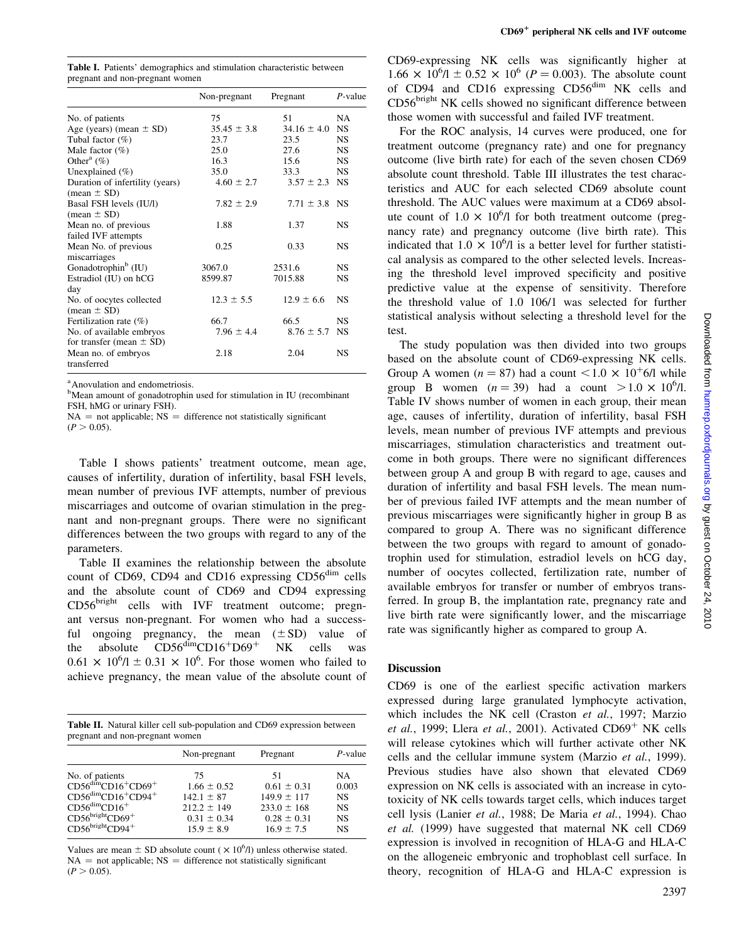Table I. Patients' demographics and stimulation characteristic between pregnant and non-pregnant women

|                                                          | Non-pregnant    | Pregnant           | $P$ -value |
|----------------------------------------------------------|-----------------|--------------------|------------|
| No. of patients                                          | 75              | 51                 | NA         |
| Age (years) (mean $\pm$ SD)                              | $35.45 \pm 3.8$ | $34.16 \pm 4.0$ NS |            |
| Tubal factor $(\%)$                                      | 23.7            | 23.5               | <b>NS</b>  |
| Male factor $(\%)$                                       | 25.0            | 27.6               | <b>NS</b>  |
| Other <sup>a</sup> $(\%)$                                | 16.3            | 15.6               | NS.        |
| Unexplained $(\% )$                                      | 35.0            | 33.3               | <b>NS</b>  |
| Duration of infertility (years)<br>$mean \pm SD$         | $4.60 \pm 2.7$  | $3.57 \pm 2.3$ NS  |            |
| Basal FSH levels (IU/l)<br>$mean \pm SD$                 | $7.82 \pm 2.9$  | $7.71 \pm 3.8$ NS  |            |
| Mean no. of previous                                     | 1.88            | 1.37               | <b>NS</b>  |
| failed IVF attempts                                      |                 |                    |            |
| Mean No. of previous<br>miscarriages                     | 0.25            | 0.33               | <b>NS</b>  |
| Gonadotrophin <sup>b</sup> (IU)                          | 3067.0          | 2531.6             | <b>NS</b>  |
| Estradiol (IU) on hCG<br>day                             | 8599.87         | 7015.88            | <b>NS</b>  |
| No. of oocytes collected<br>$mean \pm SD$                | $12.3 \pm 5.5$  | $12.9 \pm 6.6$     | <b>NS</b>  |
| Fertilization rate $(\%)$                                | 66.7            | 66.5               | <b>NS</b>  |
| No. of available embryos<br>for transfer (mean $\pm$ SD) | $7.96 \pm 4.4$  | $8.76 \pm 5.7$     | <b>NS</b>  |
| Mean no. of embryos<br>transferred                       | 2.18            | 2.04               | <b>NS</b>  |

a Anovulation and endometriosis.

Table I shows patients' treatment outcome, mean age, causes of infertility, duration of infertility, basal FSH levels, mean number of previous IVF attempts, number of previous miscarriages and outcome of ovarian stimulation in the pregnant and non-pregnant groups. There were no significant differences between the two groups with regard to any of the parameters.

Table II examines the relationship between the absolute count of CD69, CD94 and CD16 expressing CD56<sup>dim</sup> cells and the absolute count of CD69 and CD94 expressing CD56bright cells with IVF treatment outcome; pregnant versus non-pregnant. For women who had a successful ongoing pregnancy, the mean  $(\pm SD)$  value of the absolute  $CD56<sup>dim</sup>CD16<sup>+</sup>D69<sup>+</sup>$  NK cells was  $0.61 \times 10^6$ /l  $\pm$  0.31  $\times$  10<sup>6</sup>. For those women who failed to achieve pregnancy, the mean value of the absolute count of

Table II. Natural killer cell sub-population and CD69 expression between pregnant and non-pregnant women

| Non-pregnant    | Pregnant        | P-value   |
|-----------------|-----------------|-----------|
| 75              | 51              | NA        |
| $1.66 \pm 0.52$ | $0.61 \pm 0.31$ | 0.003     |
| $142.1 \pm 87$  | $149.9 \pm 117$ | <b>NS</b> |
| $212.2 \pm 149$ | $233.0 \pm 168$ | <b>NS</b> |
| $0.31 \pm 0.34$ | $0.28 \pm 0.31$ | <b>NS</b> |
| $15.9 \pm 8.9$  | $16.9 \pm 7.5$  | <b>NS</b> |
|                 |                 |           |

Values are mean  $\pm$  SD absolute count ( $\times$  10<sup>6</sup>/l) unless otherwise stated.  $NA = not applicable; NS = difference not statistically significant$  $(P > 0.05)$ .

CD69-expressing NK cells was significantly higher at  $1.66 \times 10^6$ /l  $\pm 0.52 \times 10^6$  (*P* = 0.003). The absolute count of CD94 and CD16 expressing CD56<sup>dim</sup> NK cells and CD56<sup>bright</sup> NK cells showed no significant difference between those women with successful and failed IVF treatment.

For the ROC analysis, 14 curves were produced, one for treatment outcome (pregnancy rate) and one for pregnancy outcome (live birth rate) for each of the seven chosen CD69 absolute count threshold. Table III illustrates the test characteristics and AUC for each selected CD69 absolute count threshold. The AUC values were maximum at a CD69 absolute count of  $1.0 \times 10^{6}$ /l for both treatment outcome (pregnancy rate) and pregnancy outcome (live birth rate). This indicated that  $1.0 \times 10^6$ /l is a better level for further statistical analysis as compared to the other selected levels. Increasing the threshold level improved specificity and positive predictive value at the expense of sensitivity. Therefore the threshold value of 1.0 106/1 was selected for further statistical analysis without selecting a threshold level for the test.

The study population was then divided into two groups based on the absolute count of CD69-expressing NK cells. Group A women ( $n = 87$ ) had a count <1.0  $\times$  10<sup>+</sup>6/l while group B women  $(n = 39)$  had a count  $> 1.0 \times 10^6/1$ . Table IV shows number of women in each group, their mean age, causes of infertility, duration of infertility, basal FSH levels, mean number of previous IVF attempts and previous miscarriages, stimulation characteristics and treatment outcome in both groups. There were no significant differences between group A and group B with regard to age, causes and duration of infertility and basal FSH levels. The mean number of previous failed IVF attempts and the mean number of previous miscarriages were significantly higher in group B as compared to group A. There was no significant difference between the two groups with regard to amount of gonadotrophin used for stimulation, estradiol levels on hCG day, number of oocytes collected, fertilization rate, number of available embryos for transfer or number of embryos transferred. In group B, the implantation rate, pregnancy rate and live birth rate were significantly lower, and the miscarriage rate was significantly higher as compared to group A.

### Discussion

CD69 is one of the earliest specific activation markers expressed during large granulated lymphocyte activation, which includes the NK cell (Craston et al., 1997; Marzio *et al.*, 1999; Llera *et al.*, 2001). Activated  $CD69<sup>+</sup>$  NK cells will release cytokines which will further activate other NK cells and the cellular immune system (Marzio et al., 1999). Previous studies have also shown that elevated CD69 expression on NK cells is associated with an increase in cytotoxicity of NK cells towards target cells, which induces target cell lysis (Lanier et al., 1988; De Maria et al., 1994). Chao et al. (1999) have suggested that maternal NK cell CD69 expression is involved in recognition of HLA-G and HLA-C on the allogeneic embryonic and trophoblast cell surface. In theory, recognition of HLA-G and HLA-C expression is

<sup>&</sup>lt;sup>b</sup>Mean amount of gonadotrophin used for stimulation in IU (recombinant FSH, hMG or urinary FSH).

 $NA = not applicable; NS = difference not statistically significant$  $(P > 0.05)$ .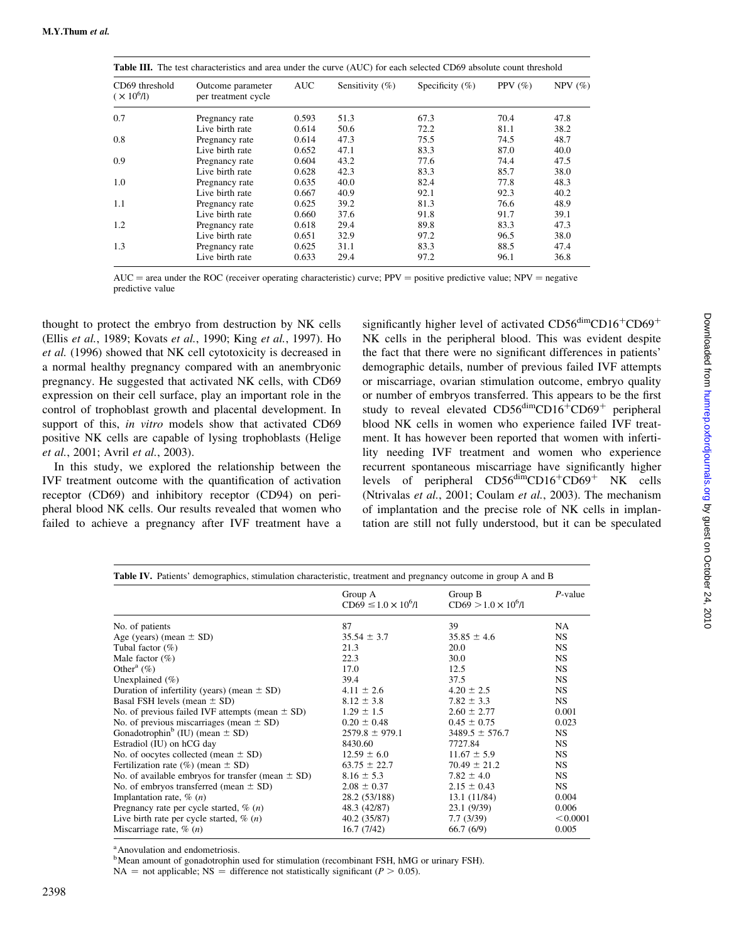| Table III. The test characteristics and area under the curve (AUC) for each selected CD69 absolute count threshold |                                          |            |                     |                     |             |            |
|--------------------------------------------------------------------------------------------------------------------|------------------------------------------|------------|---------------------|---------------------|-------------|------------|
| CD69 threshold<br>$(\times 10^{6}$ /l)                                                                             | Outcome parameter<br>per treatment cycle | <b>AUC</b> | Sensitivity $(\% )$ | Specificity $(\% )$ | PPV $(\% )$ | NPV $(\%)$ |
| 0.7                                                                                                                | Pregnancy rate                           | 0.593      | 51.3                | 67.3                | 70.4        | 47.8       |
|                                                                                                                    | Live birth rate                          | 0.614      | 50.6                | 72.2                | 81.1        | 38.2       |
| 0.8                                                                                                                | Pregnancy rate                           | 0.614      | 47.3                | 75.5                | 74.5        | 48.7       |
|                                                                                                                    | Live birth rate                          | 0.652      | 47.1                | 83.3                | 87.0        | 40.0       |
| 0.9                                                                                                                | Pregnancy rate                           | 0.604      | 43.2                | 77.6                | 74.4        | 47.5       |
|                                                                                                                    | Live birth rate                          | 0.628      | 42.3                | 83.3                | 85.7        | 38.0       |
| 1.0                                                                                                                | Pregnancy rate                           | 0.635      | 40.0                | 82.4                | 77.8        | 48.3       |
|                                                                                                                    | Live birth rate                          | 0.667      | 40.9                | 92.1                | 92.3        | 40.2       |
| 1.1                                                                                                                | Pregnancy rate                           | 0.625      | 39.2                | 81.3                | 76.6        | 48.9       |
|                                                                                                                    | Live birth rate                          | 0.660      | 37.6                | 91.8                | 91.7        | 39.1       |
| 1.2                                                                                                                | Pregnancy rate                           | 0.618      | 29.4                | 89.8                | 83.3        | 47.3       |
|                                                                                                                    | Live birth rate                          | 0.651      | 32.9                | 97.2                | 96.5        | 38.0       |
| 1.3                                                                                                                | Pregnancy rate                           | 0.625      | 31.1                | 83.3                | 88.5        | 47.4       |
|                                                                                                                    | Live birth rate                          | 0.633      | 29.4                | 97.2                | 96.1        | 36.8       |

 $AUC =$  area under the ROC (receiver operating characteristic) curve;  $PPV =$  positive predictive value;  $NPV =$  negative predictive value

thought to protect the embryo from destruction by NK cells (Ellis et al., 1989; Kovats et al., 1990; King et al., 1997). Ho et al. (1996) showed that NK cell cytotoxicity is decreased in a normal healthy pregnancy compared with an anembryonic pregnancy. He suggested that activated NK cells, with CD69 expression on their cell surface, play an important role in the control of trophoblast growth and placental development. In support of this, in vitro models show that activated CD69 positive NK cells are capable of lysing trophoblasts (Helige et al., 2001; Avril et al., 2003).

In this study, we explored the relationship between the IVF treatment outcome with the quantification of activation receptor (CD69) and inhibitory receptor (CD94) on peripheral blood NK cells. Our results revealed that women who failed to achieve a pregnancy after IVF treatment have a significantly higher level of activated  $CD56<sup>dim</sup>CD16<sup>+</sup>CD69<sup>+</sup>$ NK cells in the peripheral blood. This was evident despite the fact that there were no significant differences in patients' demographic details, number of previous failed IVF attempts or miscarriage, ovarian stimulation outcome, embryo quality or number of embryos transferred. This appears to be the first study to reveal elevated  $CD56<sup>dim</sup>CD16<sup>+</sup>CD69<sup>+</sup>$  peripheral blood NK cells in women who experience failed IVF treatment. It has however been reported that women with infertility needing IVF treatment and women who experience recurrent spontaneous miscarriage have significantly higher levels of peripheral  $CD56^{\text{dim}}CD16^{\text{+}}CD69^{\text{+}}$  NK cells (Ntrivalas et al., 2001; Coulam et al., 2003). The mechanism of implantation and the precise role of NK cells in implantation are still not fully understood, but it can be speculated

|                                                       | Group A                      | Group B                      | $P$ -value |  |
|-------------------------------------------------------|------------------------------|------------------------------|------------|--|
|                                                       | $CD69 \le 1.0 \times 10^6/1$ | $CD69 > 1.0 \times 10^{6}/1$ |            |  |
| No. of patients                                       | 87                           | 39                           | NA.        |  |
| Age (years) (mean $\pm$ SD)                           | $35.54 \pm 3.7$              | $35.85 \pm 4.6$              | NS.        |  |
| Tubal factor $(\%)$                                   | 21.3                         | 20.0                         | NS.        |  |
| Male factor $(\%)$                                    | 22.3                         | 30.0                         | <b>NS</b>  |  |
| Other <sup>a</sup> $(\%)$                             | 17.0                         | 12.5                         | NS.        |  |
| Unexplained $(\% )$                                   | 39.4                         | 37.5                         | NS.        |  |
| Duration of infertility (years) (mean $\pm$ SD)       | $4.11 \pm 2.6$               | $4.20 \pm 2.5$               | NS.        |  |
| Basal FSH levels (mean $\pm$ SD)                      | $8.12 \pm 3.8$               | $7.82 \pm 3.3$               | NS.        |  |
| No. of previous failed IVF attempts (mean $\pm$ SD)   | $1.29 \pm 1.5$               | $2.60 \pm 2.77$              | 0.001      |  |
| No. of previous miscarriages (mean $\pm$ SD)          | $0.20 \pm 0.48$              | $0.45 \pm 0.75$              | 0.023      |  |
| Gonadotrophin <sup>b</sup> (IU) (mean $\pm$ SD)       | $2579.8 \pm 979.1$           | $3489.5 \pm 576.7$           | NS.        |  |
| Estradiol (IU) on hCG day                             | 8430.60                      | 7727.84                      | NS.        |  |
| No. of oocytes collected (mean $\pm$ SD)              | $12.59 \pm 6.0$              | $11.67 \pm 5.9$              | <b>NS</b>  |  |
| Fertilization rate $(\%)$ (mean $\pm$ SD)             | $63.75 \pm 22.7$             | $70.49 \pm 21.2$             | NS.        |  |
| No. of available embryos for transfer (mean $\pm$ SD) | $8.16 \pm 5.3$               | $7.82 \pm 4.0$               | NS.        |  |
| No. of embryos transferred (mean $\pm$ SD)            | $2.08 \pm 0.37$              | $2.15 \pm 0.43$              | NS.        |  |
| Implantation rate, $\%$ ( <i>n</i> )                  | 28.2 (53/188)                | 13.1 (11/84)                 | 0.004      |  |
| Pregnancy rate per cycle started, $\%$ ( <i>n</i> )   | 48.3 (42/87)                 | 23.1 (9/39)                  | 0.006      |  |
| Live birth rate per cycle started, $\%$ ( <i>n</i> )  | 40.2 (35/87)                 | 7.7(3/39)                    | < 0.0001   |  |
| Miscarriage rate, $\%$ ( <i>n</i> )                   | 16.7(7/42)                   | 66.7(6/9)                    | 0.005      |  |

a Anovulation and endometriosis.

<sup>b</sup>Mean amount of gonadotrophin used for stimulation (recombinant FSH, hMG or urinary FSH).

 $NA =$  not applicable;  $NS =$  difference not statistically significant ( $P > 0.05$ ).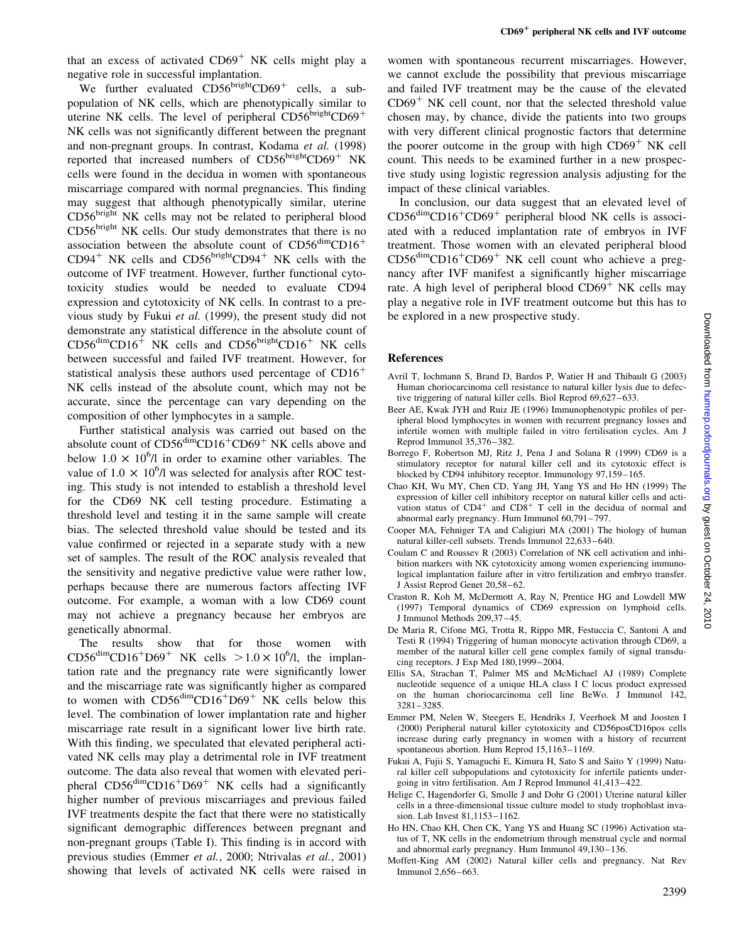that an excess of activated  $CD69<sup>+</sup>$  NK cells might play a

negative role in successful implantation. We further evaluated  $CD56<sup>bright</sup>CD69<sup>+</sup>$  cells, a subpopulation of NK cells, which are phenotypically similar to uterine NK cells. The level of peripheral  $CD56<sup>bright</sup>CD69<sup>+</sup>$ NK cells was not significantly different between the pregnant and non-pregnant groups. In contrast, Kodama et al. (1998) reported that increased numbers of  $CD56<sup>bright</sup>CD69<sup>+</sup> NK$ cells were found in the decidua in women with spontaneous miscarriage compared with normal pregnancies. This finding may suggest that although phenotypically similar, uterine CD56<sup>bright</sup> NK cells may not be related to peripheral blood CD56<sup>bright</sup> NK cells. Our study demonstrates that there is no association between the absolute count of  $CD56<sup>dim</sup>CD16<sup>+</sup>$  $CD94<sup>+</sup>$  NK cells and  $CD56<sup>bright</sup>CD94<sup>+</sup>$  NK cells with the outcome of IVF treatment. However, further functional cytotoxicity studies would be needed to evaluate CD94 expression and cytotoxicity of NK cells. In contrast to a previous study by Fukui et al. (1999), the present study did not demonstrate any statistical difference in the absolute count of  $CD56<sup>dim</sup>CD16<sup>+</sup>$  NK cells and  $CD56<sup>bright</sup>CD16<sup>+</sup>$  NK cells between successful and failed IVF treatment. However, for statistical analysis these authors used percentage of  $CD16<sup>+</sup>$ NK cells instead of the absolute count, which may not be accurate, since the percentage can vary depending on the composition of other lymphocytes in a sample.

Further statistical analysis was carried out based on the absolute count of  $CD56<sup>dim</sup>CD16<sup>+</sup>CD69<sup>+</sup> NK$  cells above and below  $1.0 \times 10^6$ /l in order to examine other variables. The value of 1.0  $\times$  10<sup>6</sup>/l was selected for analysis after ROC testing. This study is not intended to establish a threshold level for the CD69 NK cell testing procedure. Estimating a threshold level and testing it in the same sample will create bias. The selected threshold value should be tested and its value confirmed or rejected in a separate study with a new set of samples. The result of the ROC analysis revealed that the sensitivity and negative predictive value were rather low, perhaps because there are numerous factors affecting IVF outcome. For example, a woman with a low CD69 count may not achieve a pregnancy because her embryos are genetically abnormal.

The results show that for those women with  $CD56^{\text{dim}}CD16^{\text{+}}D69^{\text{+}}$  NK cells  $>1.0 \times 10^{\text{6}}$ /l, the implantation rate and the pregnancy rate were significantly lower and the miscarriage rate was significantly higher as compared to women with  $CD56<sup>dim</sup>CD16<sup>+</sup>D69<sup>+</sup>$  NK cells below this level. The combination of lower implantation rate and higher miscarriage rate result in a significant lower live birth rate. With this finding, we speculated that elevated peripheral activated NK cells may play a detrimental role in IVF treatment outcome. The data also reveal that women with elevated peripheral  $CD56<sup>dim</sup>CD16<sup>+</sup>D69<sup>+</sup>$  NK cells had a significantly higher number of previous miscarriages and previous failed IVF treatments despite the fact that there were no statistically significant demographic differences between pregnant and non-pregnant groups (Table I). This finding is in accord with previous studies (Emmer et al., 2000; Ntrivalas et al., 2001) showing that levels of activated NK cells were raised in

women with spontaneous recurrent miscarriages. However, we cannot exclude the possibility that previous miscarriage and failed IVF treatment may be the cause of the elevated  $CD69<sup>+</sup>$  NK cell count, nor that the selected threshold value chosen may, by chance, divide the patients into two groups with very different clinical prognostic factors that determine the poorer outcome in the group with high  $CD69<sup>+</sup>$  NK cell count. This needs to be examined further in a new prospective study using logistic regression analysis adjusting for the impact of these clinical variables.

In conclusion, our data suggest that an elevated level of  $CD56<sup>dim</sup>CD16<sup>+</sup>CD69<sup>+</sup>$  peripheral blood NK cells is associated with a reduced implantation rate of embryos in IVF treatment. Those women with an elevated peripheral blood  $CD56<sup>dim</sup>CD16<sup>+</sup>CD69<sup>+</sup> NK cell count who achieve a preg$ nancy after IVF manifest a significantly higher miscarriage rate. A high level of peripheral blood  $CD69<sup>+</sup>$  NK cells may play a negative role in IVF treatment outcome but this has to be explored in a new prospective study.

## References

- Avril T, Iochmann S, Brand D, Bardos P, Watier H and Thibault G (2003) Human choriocarcinoma cell resistance to natural killer lysis due to defective triggering of natural killer cells. Biol Reprod 69,627–633.
- Beer AE, Kwak JYH and Ruiz JE (1996) Immunophenotypic profiles of peripheral blood lymphocytes in women with recurrent pregnancy losses and infertile women with multiple failed in vitro fertilisation cycles. Am J Reprod Immunol 35,376–382.
- Borrego F, Robertson MJ, Ritz J, Pena J and Solana R (1999) CD69 is a stimulatory receptor for natural killer cell and its cytotoxic effect is blocked by CD94 inhibitory receptor. Immunology 97,159–165.
- Chao KH, Wu MY, Chen CD, Yang JH, Yang YS and Ho HN (1999) The expression of killer cell inhibitory receptor on natural killer cells and acti-<br>vation status of  $CD4^+$  and  $CD8^+$  T cell in the decidua of normal and abnormal early pregnancy. Hum Immunol 60,791–797.
- Cooper MA, Fehniger TA and Caligiuri MA (2001) The biology of human natural killer-cell subsets. Trends Immunol 22,633–640.
- Coulam C and Roussev R (2003) Correlation of NK cell activation and inhibition markers with NK cytotoxicity among women experiencing immunological implantation failure after in vitro fertilization and embryo transfer. J Assist Reprod Genet 20,58–62.
- Craston R, Koh M, McDermott A, Ray N, Prentice HG and Lowdell MW (1997) Temporal dynamics of CD69 expression on lymphoid cells. J Immunol Methods 209,37–45.
- De Maria R, Cifone MG, Trotta R, Rippo MR, Festuccia C, Santoni A and Testi R (1994) Triggering of human monocyte activation through CD69, a member of the natural killer cell gene complex family of signal transducing receptors. J Exp Med 180,1999–2004.
- Ellis SA, Strachan T, Palmer MS and McMichael AJ (1989) Complete nucleotide sequence of a unique HLA class I C locus product expressed on the human choriocarcinoma cell line BeWo. J Immunol 142, 3281–3285.
- Emmer PM, Nelen W, Steegers E, Hendriks J, Veerhoek M and Joosten I (2000) Peripheral natural killer cytotoxicity and CD56posCD16pos cells increase during early pregnancy in women with a history of recurrent spontaneous abortion. Hum Reprod 15,1163–1169.
- Fukui A, Fujii S, Yamaguchi E, Kimura H, Sato S and Saito Y (1999) Natural killer cell subpopulations and cytotoxicity for infertile patients undergoing in vitro fertilisation. Am J Reprod Immunol 41,413–422.
- Helige C, Hagendorfer G, Smolle J and Dohr G (2001) Uterine natural killer cells in a three-dimensional tissue culture model to study trophoblast invasion. Lab Invest 81,1153–1162.
- Ho HN, Chao KH, Chen CK, Yang YS and Huang SC (1996) Activation status of T, NK cells in the endometrium through menstrual cycle and normal and abnormal early pregnancy. Hum Immunol 49,130–136.
- Moffett-King AM (2002) Natural killer cells and pregnancy. Nat Rev Immunol 2,656–663.